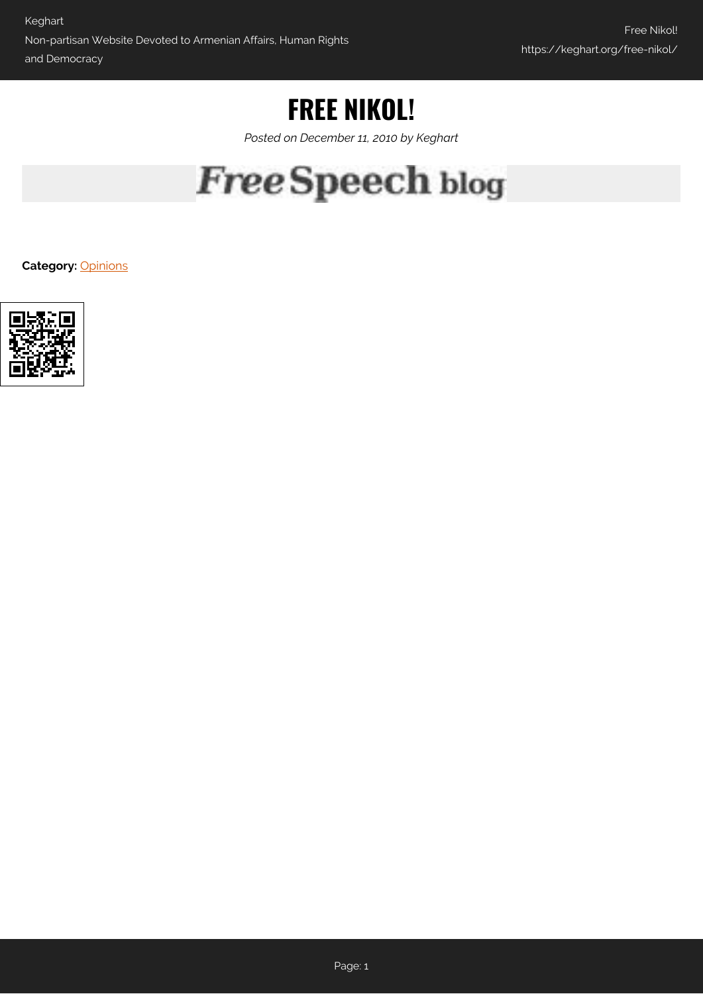## **FREE NIKOL!**

*Posted on December 11, 2010 by Keghart*

## **Free Speech blog**

**Category:** [Opinions](https://keghart.org/category/opinions/)

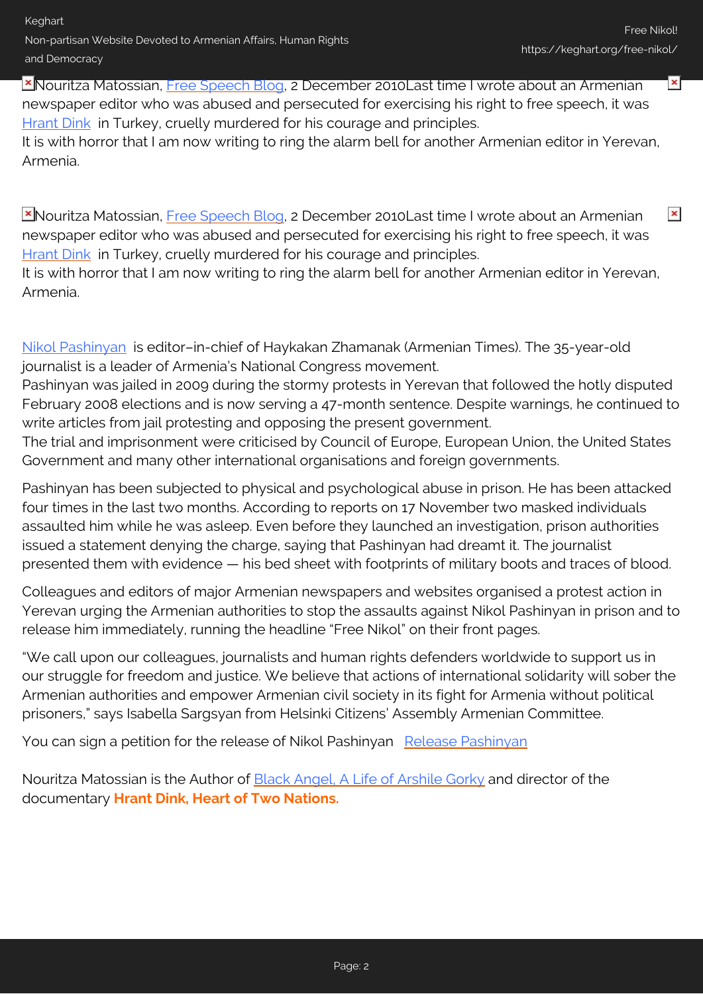Keghart Non-partisan Website Devoted to Armenian Affairs, Human Rights and Democracy

 $\pmb{\times}$ 

 $\pmb{\times}$ 

**X** Nouritza Matossian, [Free Speech Blog,](http://blog.indexoncensorship.org/2010/12/02/free-nikol-armenia/) 2 December 2010Last time I wrote about an Armenian newspaper editor who was abused and persecuted for exercising his right to free speech, it was [Hrant Dink](http://www.indexoncensorship.org/tag/hrant-dink/) in Turkey, cruelly murdered for his courage and principles.

It is with horror that I am now writing to ring the alarm bell for another Armenian editor in Yerevan, Armenia.

**X**Nouritza Matossian, [Free Speech Blog,](http://blog.indexoncensorship.org/2010/12/02/free-nikol-armenia/) 2 December 2010Last time I wrote about an Armenian newspaper editor who was abused and persecuted for exercising his right to free speech, it was [Hrant Dink](http://www.indexoncensorship.org/tag/hrant-dink/) in Turkey, cruelly murdered for his courage and principles.

It is with horror that I am now writing to ring the alarm bell for another Armenian editor in Yerevan, Armenia.

[Nikol Pashinyan](http://www.hra.am/en/tag/Pashinyan) is editor–in-chief of Haykakan Zhamanak (Armenian Times). The 35-year-old journalist is a leader of Armenia's National Congress movement.

Pashinyan was jailed in 2009 during the stormy protests in Yerevan that followed the hotly disputed February 2008 elections and is now serving a 47-month sentence. Despite warnings, he continued to write articles from jail protesting and opposing the present government.

The trial and imprisonment were criticised by Council of Europe, European Union, the United States Government and many other international organisations and foreign governments.

Pashinyan has been subjected to physical and psychological abuse in prison. He has been attacked four times in the last two months. According to reports on 17 November two masked individuals assaulted him while he was asleep. Even before they launched an investigation, prison authorities issued a statement denying the charge, saying that Pashinyan had dreamt it. The journalist presented them with evidence — his bed sheet with footprints of military boots and traces of blood.

Colleagues and editors of major Armenian newspapers and websites organised a protest action in Yerevan urging the Armenian authorities to stop the assaults against Nikol Pashinyan in prison and to release him immediately, running the headline "Free Nikol" on their front pages.

"We call upon our colleagues, journalists and human rights defenders worldwide to support us in our struggle for freedom and justice. We believe that actions of international solidarity will sober the Armenian authorities and empower Armenian civil society in its fight for Armenia without political prisoners," says Isabella Sargsyan from Helsinki Citizens' Assembly Armenian Committee.

You can sign a petition for the release of Nikol Pashinyan [Release Pashinyan](http://keghart.com/Pashinyan_Free)

Nouritza Matossian is the Author of **Black Angel, A Life of Arshile Gorky** and director of the documentary **Hrant Dink, Heart of Two Nations.**